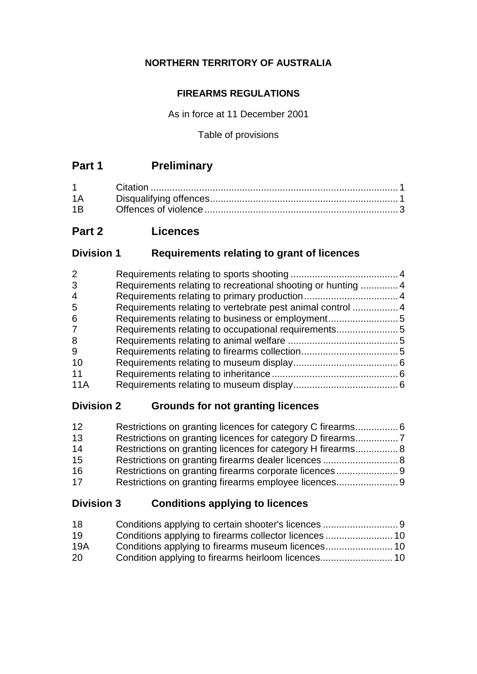## **NORTHERN TERRITORY OF AUSTRALIA**

## **FIREARMS REGULATIONS**

As in force at 11 December 2001

Table of provisions

## **Part 1 Preliminary**

| 1A             |  |
|----------------|--|
| 1 <sub>B</sub> |  |

## **Part 2 Licences**

## **Division 1 Requirements relating to grant of licences**

| $\overline{2}$ |                                                              |  |
|----------------|--------------------------------------------------------------|--|
| 3              | Requirements relating to recreational shooting or hunting  4 |  |
| 4              |                                                              |  |
| 5              | Requirements relating to vertebrate pest animal control 4    |  |
| 6              |                                                              |  |
| $\overline{7}$ |                                                              |  |
| 8              |                                                              |  |
| 9              |                                                              |  |
| 10             |                                                              |  |
| 11             |                                                              |  |
| 11A            |                                                              |  |
|                |                                                              |  |

## **Division 2 Grounds for not granting licences**

| 12 |                                                             |  |
|----|-------------------------------------------------------------|--|
| 13 |                                                             |  |
| 14 | Restrictions on granting licences for category H firearms 8 |  |
| 15 |                                                             |  |
| 16 |                                                             |  |
| 17 |                                                             |  |

## **Division 3 Conditions applying to licences**

| 18         |  |
|------------|--|
| 19         |  |
| <b>19A</b> |  |
| 20         |  |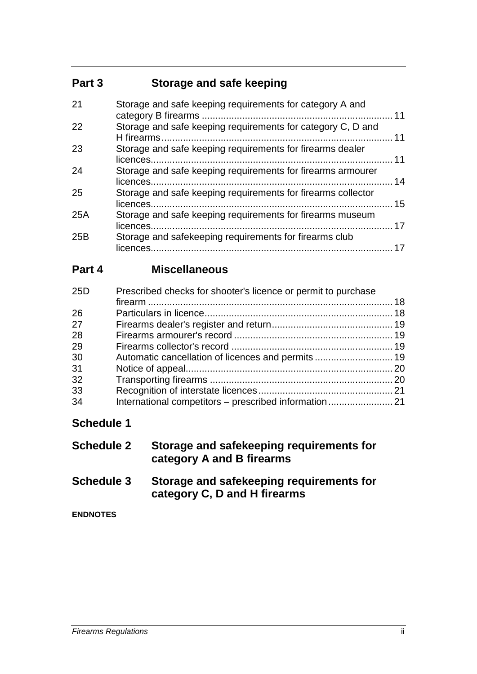## **Part 3 Storage and safe keeping**

| 21  | Storage and safe keeping requirements for category A and            |    |
|-----|---------------------------------------------------------------------|----|
| 22  | Storage and safe keeping requirements for category C, D and         |    |
| 23  | Storage and safe keeping requirements for firearms dealer           |    |
| 24  | Storage and safe keeping requirements for firearms armourer         | 14 |
| 25  | Storage and safe keeping requirements for firearms collector        | 15 |
| 25A | Storage and safe keeping requirements for firearms museum           | 17 |
| 25B | Storage and safekeeping requirements for firearms club<br>licences. |    |

## **Part 4 Miscellaneous**

| 25D | Prescribed checks for shooter's licence or permit to purchase |  |
|-----|---------------------------------------------------------------|--|
|     |                                                               |  |
| 26  |                                                               |  |
| 27  |                                                               |  |
| 28  |                                                               |  |
| 29  |                                                               |  |
| 30  |                                                               |  |
| 31  |                                                               |  |
| 32  |                                                               |  |
| 33  |                                                               |  |
| -34 |                                                               |  |

## **Schedule 1**

| <b>Schedule 2</b> | Storage and safekeeping requirements for |
|-------------------|------------------------------------------|
|                   | category A and B firearms                |

**Schedule 3 Storage and safekeeping requirements for category C, D and H firearms**

#### **ENDNOTES**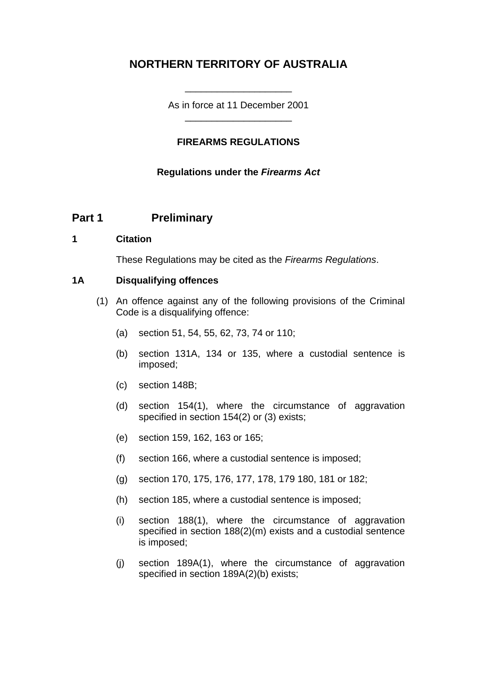## **NORTHERN TERRITORY OF AUSTRALIA**

As in force at 11 December 2001 \_\_\_\_\_\_\_\_\_\_\_\_\_\_\_\_\_\_\_\_

\_\_\_\_\_\_\_\_\_\_\_\_\_\_\_\_\_\_\_\_

### **FIREARMS REGULATIONS**

#### **Regulations under the** *Firearms Act*

### **Part 1 Preliminary**

#### **1 Citation**

These Regulations may be cited as the *Firearms Regulations*.

#### **1A Disqualifying offences**

- (1) An offence against any of the following provisions of the Criminal Code is a disqualifying offence:
	- (a) section 51, 54, 55, 62, 73, 74 or 110;
	- (b) section 131A, 134 or 135, where a custodial sentence is imposed;
	- (c) section 148B;
	- (d) section 154(1), where the circumstance of aggravation specified in section 154(2) or (3) exists;
	- (e) section 159, 162, 163 or 165;
	- (f) section 166, where a custodial sentence is imposed;
	- (g) section 170, 175, 176, 177, 178, 179 180, 181 or 182;
	- (h) section 185, where a custodial sentence is imposed;
	- (i) section 188(1), where the circumstance of aggravation specified in section 188(2)(m) exists and a custodial sentence is imposed;
	- (j) section 189A(1), where the circumstance of aggravation specified in section 189A(2)(b) exists;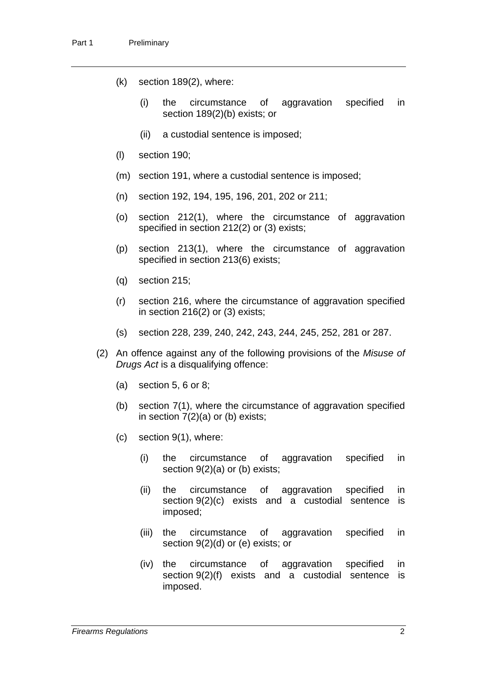- (k) section 189(2), where:
	- (i) the circumstance of aggravation specified in section 189(2)(b) exists; or
	- (ii) a custodial sentence is imposed;
- (l) section 190;
- (m) section 191, where a custodial sentence is imposed;
- (n) section 192, 194, 195, 196, 201, 202 or 211;
- (o) section 212(1), where the circumstance of aggravation specified in section 212(2) or (3) exists;
- (p) section 213(1), where the circumstance of aggravation specified in section 213(6) exists;
- (q) section 215;
- (r) section 216, where the circumstance of aggravation specified in section 216(2) or (3) exists;
- (s) section 228, 239, 240, 242, 243, 244, 245, 252, 281 or 287.
- (2) An offence against any of the following provisions of the *Misuse of Drugs Act* is a disqualifying offence:
	- (a) section 5, 6 or 8;
	- (b) section 7(1), where the circumstance of aggravation specified in section 7(2)(a) or (b) exists;
	- (c) section 9(1), where:
		- (i) the circumstance of aggravation specified in section 9(2)(a) or (b) exists;
		- (ii) the circumstance of aggravation specified in section 9(2)(c) exists and a custodial sentence is imposed;
		- (iii) the circumstance of aggravation specified in section 9(2)(d) or (e) exists; or
		- (iv) the circumstance of aggravation specified in section 9(2)(f) exists and a custodial sentence is imposed.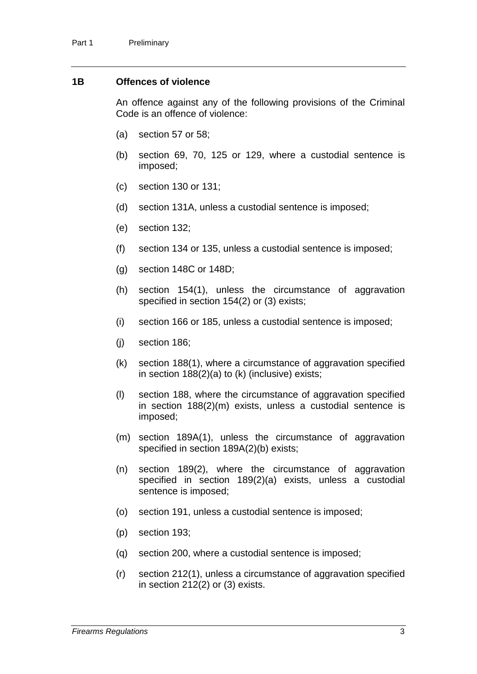#### **1B Offences of violence**

An offence against any of the following provisions of the Criminal Code is an offence of violence:

- (a) section 57 or 58;
- (b) section 69, 70, 125 or 129, where a custodial sentence is imposed;
- (c) section 130 or 131;
- (d) section 131A, unless a custodial sentence is imposed;
- (e) section 132;
- (f) section 134 or 135, unless a custodial sentence is imposed;
- (g) section 148C or 148D;
- (h) section 154(1), unless the circumstance of aggravation specified in section 154(2) or (3) exists;
- (i) section 166 or 185, unless a custodial sentence is imposed;
- (j) section 186;
- (k) section 188(1), where a circumstance of aggravation specified in section 188(2)(a) to (k) (inclusive) exists;
- (l) section 188, where the circumstance of aggravation specified in section 188(2)(m) exists, unless a custodial sentence is imposed;
- (m) section 189A(1), unless the circumstance of aggravation specified in section 189A(2)(b) exists;
- (n) section 189(2), where the circumstance of aggravation specified in section 189(2)(a) exists, unless a custodial sentence is imposed;
- (o) section 191, unless a custodial sentence is imposed;
- (p) section 193;
- (q) section 200, where a custodial sentence is imposed;
- (r) section 212(1), unless a circumstance of aggravation specified in section 212(2) or (3) exists.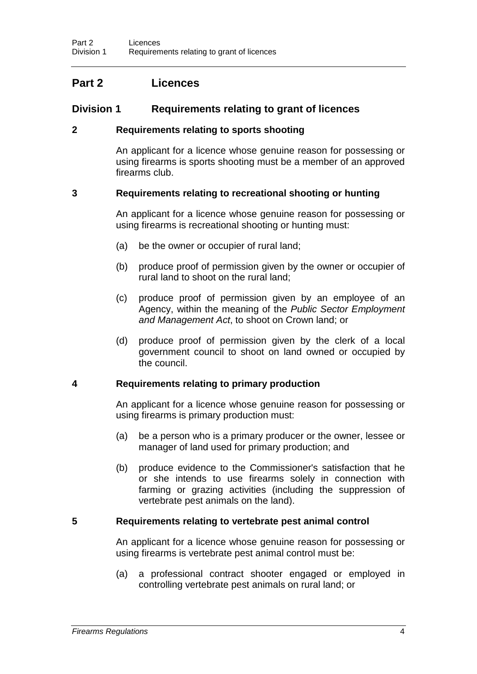## **Part 2 Licences**

### **Division 1 Requirements relating to grant of licences**

#### **2 Requirements relating to sports shooting**

An applicant for a licence whose genuine reason for possessing or using firearms is sports shooting must be a member of an approved firearms club.

#### **3 Requirements relating to recreational shooting or hunting**

An applicant for a licence whose genuine reason for possessing or using firearms is recreational shooting or hunting must:

- (a) be the owner or occupier of rural land;
- (b) produce proof of permission given by the owner or occupier of rural land to shoot on the rural land;
- (c) produce proof of permission given by an employee of an Agency, within the meaning of the *Public Sector Employment and Management Act*, to shoot on Crown land; or
- (d) produce proof of permission given by the clerk of a local government council to shoot on land owned or occupied by the council.

#### **4 Requirements relating to primary production**

An applicant for a licence whose genuine reason for possessing or using firearms is primary production must:

- (a) be a person who is a primary producer or the owner, lessee or manager of land used for primary production; and
- (b) produce evidence to the Commissioner's satisfaction that he or she intends to use firearms solely in connection with farming or grazing activities (including the suppression of vertebrate pest animals on the land).

### **5 Requirements relating to vertebrate pest animal control**

An applicant for a licence whose genuine reason for possessing or using firearms is vertebrate pest animal control must be:

(a) a professional contract shooter engaged or employed in controlling vertebrate pest animals on rural land; or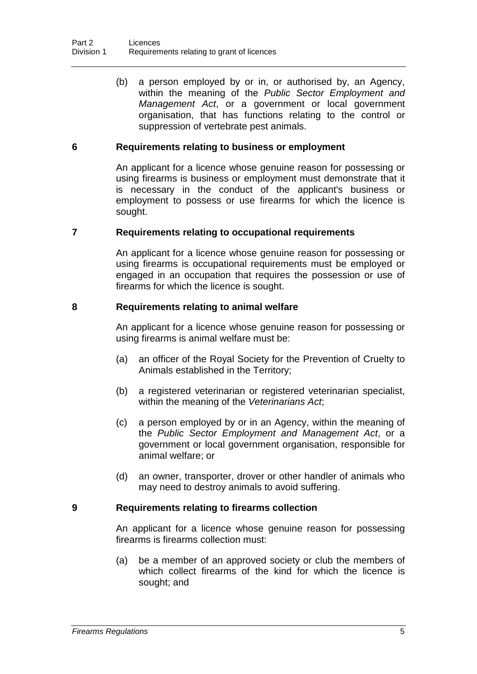(b) a person employed by or in, or authorised by, an Agency, within the meaning of the *Public Sector Employment and Management Act*, or a government or local government organisation, that has functions relating to the control or suppression of vertebrate pest animals.

#### **6 Requirements relating to business or employment**

An applicant for a licence whose genuine reason for possessing or using firearms is business or employment must demonstrate that it is necessary in the conduct of the applicant's business or employment to possess or use firearms for which the licence is sought.

#### **7 Requirements relating to occupational requirements**

An applicant for a licence whose genuine reason for possessing or using firearms is occupational requirements must be employed or engaged in an occupation that requires the possession or use of firearms for which the licence is sought.

#### **8 Requirements relating to animal welfare**

An applicant for a licence whose genuine reason for possessing or using firearms is animal welfare must be:

- (a) an officer of the Royal Society for the Prevention of Cruelty to Animals established in the Territory;
- (b) a registered veterinarian or registered veterinarian specialist, within the meaning of the *Veterinarians Act*;
- (c) a person employed by or in an Agency, within the meaning of the *Public Sector Employment and Management Act*, or a government or local government organisation, responsible for animal welfare; or
- (d) an owner, transporter, drover or other handler of animals who may need to destroy animals to avoid suffering.

#### **9 Requirements relating to firearms collection**

An applicant for a licence whose genuine reason for possessing firearms is firearms collection must:

(a) be a member of an approved society or club the members of which collect firearms of the kind for which the licence is sought; and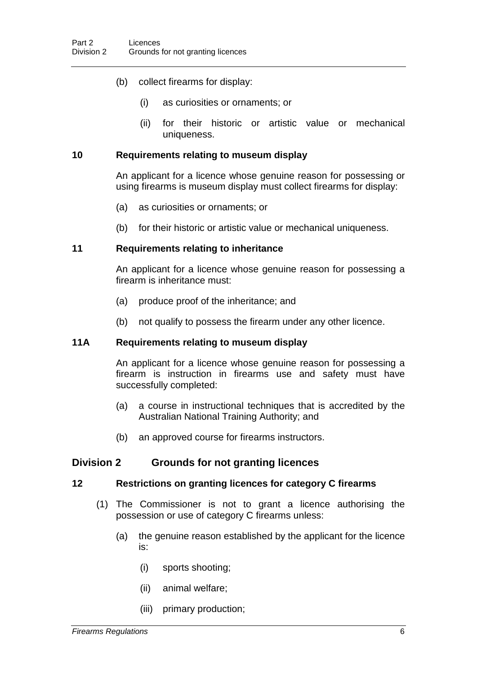- (b) collect firearms for display:
	- (i) as curiosities or ornaments; or
	- (ii) for their historic or artistic value or mechanical uniqueness.

#### **10 Requirements relating to museum display**

An applicant for a licence whose genuine reason for possessing or using firearms is museum display must collect firearms for display:

- (a) as curiosities or ornaments; or
- (b) for their historic or artistic value or mechanical uniqueness.

#### **11 Requirements relating to inheritance**

An applicant for a licence whose genuine reason for possessing a firearm is inheritance must:

- (a) produce proof of the inheritance; and
- (b) not qualify to possess the firearm under any other licence.

#### **11A Requirements relating to museum display**

An applicant for a licence whose genuine reason for possessing a firearm is instruction in firearms use and safety must have successfully completed:

- (a) a course in instructional techniques that is accredited by the Australian National Training Authority; and
- (b) an approved course for firearms instructors.

#### **Division 2 Grounds for not granting licences**

#### **12 Restrictions on granting licences for category C firearms**

- (1) The Commissioner is not to grant a licence authorising the possession or use of category C firearms unless:
	- (a) the genuine reason established by the applicant for the licence is:
		- (i) sports shooting;
		- (ii) animal welfare;
		- (iii) primary production;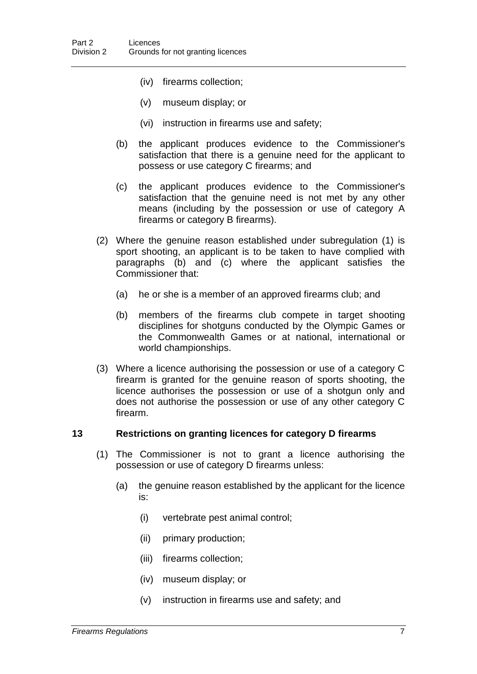- (iv) firearms collection;
- (v) museum display; or
- (vi) instruction in firearms use and safety;
- (b) the applicant produces evidence to the Commissioner's satisfaction that there is a genuine need for the applicant to possess or use category C firearms; and
- (c) the applicant produces evidence to the Commissioner's satisfaction that the genuine need is not met by any other means (including by the possession or use of category A firearms or category B firearms).
- (2) Where the genuine reason established under subregulation (1) is sport shooting, an applicant is to be taken to have complied with paragraphs (b) and (c) where the applicant satisfies the Commissioner that:
	- (a) he or she is a member of an approved firearms club; and
	- (b) members of the firearms club compete in target shooting disciplines for shotguns conducted by the Olympic Games or the Commonwealth Games or at national, international or world championships.
- (3) Where a licence authorising the possession or use of a category C firearm is granted for the genuine reason of sports shooting, the licence authorises the possession or use of a shotgun only and does not authorise the possession or use of any other category C firearm.

### **13 Restrictions on granting licences for category D firearms**

- (1) The Commissioner is not to grant a licence authorising the possession or use of category D firearms unless:
	- (a) the genuine reason established by the applicant for the licence is:
		- (i) vertebrate pest animal control;
		- (ii) primary production;
		- (iii) firearms collection;
		- (iv) museum display; or
		- (v) instruction in firearms use and safety; and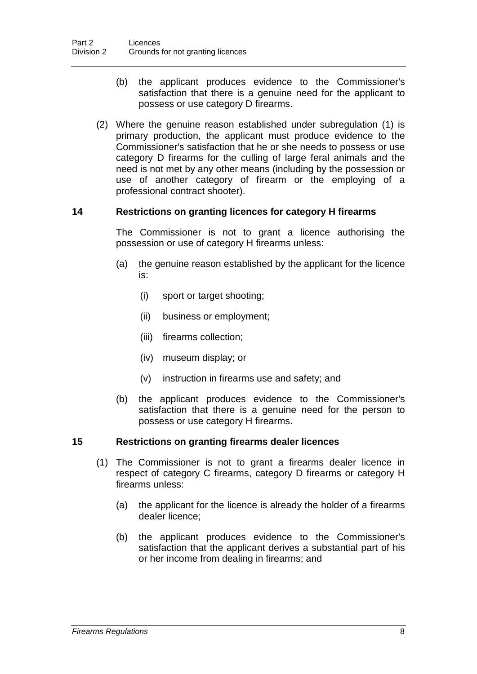- (b) the applicant produces evidence to the Commissioner's satisfaction that there is a genuine need for the applicant to possess or use category D firearms.
- (2) Where the genuine reason established under subregulation (1) is primary production, the applicant must produce evidence to the Commissioner's satisfaction that he or she needs to possess or use category D firearms for the culling of large feral animals and the need is not met by any other means (including by the possession or use of another category of firearm or the employing of a professional contract shooter).

#### **14 Restrictions on granting licences for category H firearms**

The Commissioner is not to grant a licence authorising the possession or use of category H firearms unless:

- (a) the genuine reason established by the applicant for the licence is:
	- (i) sport or target shooting;
	- (ii) business or employment;
	- (iii) firearms collection;
	- (iv) museum display; or
	- (v) instruction in firearms use and safety; and
- (b) the applicant produces evidence to the Commissioner's satisfaction that there is a genuine need for the person to possess or use category H firearms.

#### **15 Restrictions on granting firearms dealer licences**

- (1) The Commissioner is not to grant a firearms dealer licence in respect of category C firearms, category D firearms or category H firearms unless:
	- (a) the applicant for the licence is already the holder of a firearms dealer licence;
	- (b) the applicant produces evidence to the Commissioner's satisfaction that the applicant derives a substantial part of his or her income from dealing in firearms; and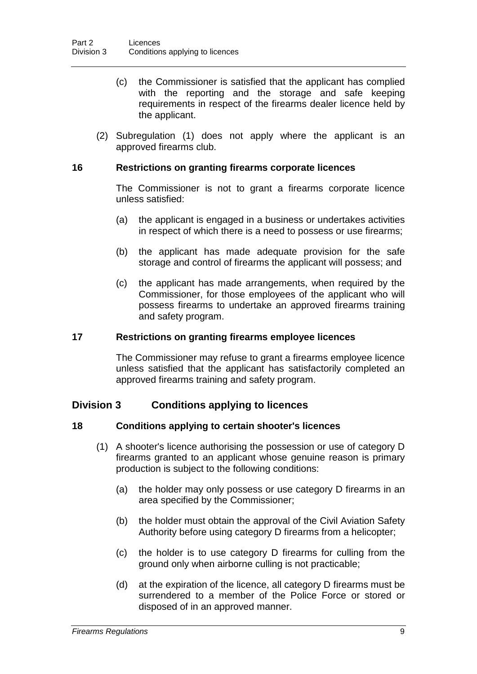- (c) the Commissioner is satisfied that the applicant has complied with the reporting and the storage and safe keeping requirements in respect of the firearms dealer licence held by the applicant.
- (2) Subregulation (1) does not apply where the applicant is an approved firearms club.

#### **16 Restrictions on granting firearms corporate licences**

The Commissioner is not to grant a firearms corporate licence unless satisfied:

- (a) the applicant is engaged in a business or undertakes activities in respect of which there is a need to possess or use firearms;
- (b) the applicant has made adequate provision for the safe storage and control of firearms the applicant will possess; and
- (c) the applicant has made arrangements, when required by the Commissioner, for those employees of the applicant who will possess firearms to undertake an approved firearms training and safety program.

#### **17 Restrictions on granting firearms employee licences**

The Commissioner may refuse to grant a firearms employee licence unless satisfied that the applicant has satisfactorily completed an approved firearms training and safety program.

### **Division 3 Conditions applying to licences**

#### **18 Conditions applying to certain shooter's licences**

- (1) A shooter's licence authorising the possession or use of category D firearms granted to an applicant whose genuine reason is primary production is subject to the following conditions:
	- (a) the holder may only possess or use category D firearms in an area specified by the Commissioner;
	- (b) the holder must obtain the approval of the Civil Aviation Safety Authority before using category D firearms from a helicopter;
	- (c) the holder is to use category D firearms for culling from the ground only when airborne culling is not practicable;
	- (d) at the expiration of the licence, all category D firearms must be surrendered to a member of the Police Force or stored or disposed of in an approved manner.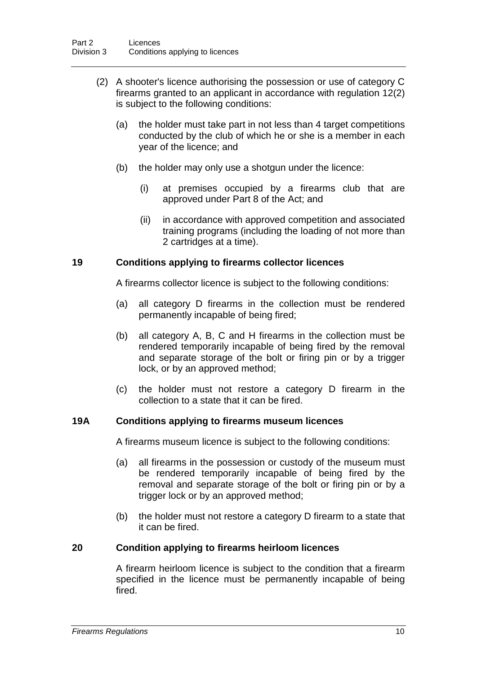- (2) A shooter's licence authorising the possession or use of category C firearms granted to an applicant in accordance with regulation 12(2) is subject to the following conditions:
	- (a) the holder must take part in not less than 4 target competitions conducted by the club of which he or she is a member in each year of the licence; and
	- (b) the holder may only use a shotgun under the licence:
		- (i) at premises occupied by a firearms club that are approved under Part 8 of the Act; and
		- (ii) in accordance with approved competition and associated training programs (including the loading of not more than 2 cartridges at a time).

#### **19 Conditions applying to firearms collector licences**

A firearms collector licence is subject to the following conditions:

- (a) all category D firearms in the collection must be rendered permanently incapable of being fired;
- (b) all category A, B, C and H firearms in the collection must be rendered temporarily incapable of being fired by the removal and separate storage of the bolt or firing pin or by a trigger lock, or by an approved method;
- (c) the holder must not restore a category D firearm in the collection to a state that it can be fired.

#### **19A Conditions applying to firearms museum licences**

A firearms museum licence is subject to the following conditions:

- (a) all firearms in the possession or custody of the museum must be rendered temporarily incapable of being fired by the removal and separate storage of the bolt or firing pin or by a trigger lock or by an approved method;
- (b) the holder must not restore a category D firearm to a state that it can be fired.

#### **20 Condition applying to firearms heirloom licences**

A firearm heirloom licence is subject to the condition that a firearm specified in the licence must be permanently incapable of being fired.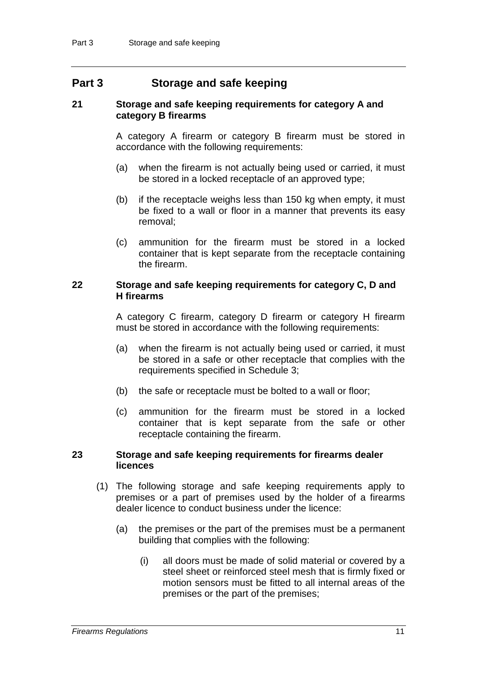## **Part 3 Storage and safe keeping**

#### **21 Storage and safe keeping requirements for category A and category B firearms**

A category A firearm or category B firearm must be stored in accordance with the following requirements:

- (a) when the firearm is not actually being used or carried, it must be stored in a locked receptacle of an approved type;
- (b) if the receptacle weighs less than 150 kg when empty, it must be fixed to a wall or floor in a manner that prevents its easy removal;
- (c) ammunition for the firearm must be stored in a locked container that is kept separate from the receptacle containing the firearm.

#### **22 Storage and safe keeping requirements for category C, D and H firearms**

A category C firearm, category D firearm or category H firearm must be stored in accordance with the following requirements:

- (a) when the firearm is not actually being used or carried, it must be stored in a safe or other receptacle that complies with the requirements specified in Schedule 3;
- (b) the safe or receptacle must be bolted to a wall or floor;
- (c) ammunition for the firearm must be stored in a locked container that is kept separate from the safe or other receptacle containing the firearm.

#### **23 Storage and safe keeping requirements for firearms dealer licences**

- (1) The following storage and safe keeping requirements apply to premises or a part of premises used by the holder of a firearms dealer licence to conduct business under the licence:
	- (a) the premises or the part of the premises must be a permanent building that complies with the following:
		- (i) all doors must be made of solid material or covered by a steel sheet or reinforced steel mesh that is firmly fixed or motion sensors must be fitted to all internal areas of the premises or the part of the premises;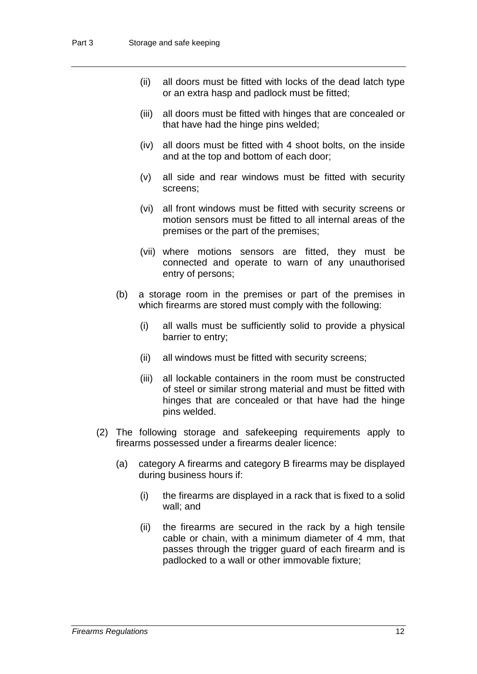- (ii) all doors must be fitted with locks of the dead latch type or an extra hasp and padlock must be fitted;
- (iii) all doors must be fitted with hinges that are concealed or that have had the hinge pins welded;
- (iv) all doors must be fitted with 4 shoot bolts, on the inside and at the top and bottom of each door;
- (v) all side and rear windows must be fitted with security screens;
- (vi) all front windows must be fitted with security screens or motion sensors must be fitted to all internal areas of the premises or the part of the premises;
- (vii) where motions sensors are fitted, they must be connected and operate to warn of any unauthorised entry of persons;
- (b) a storage room in the premises or part of the premises in which firearms are stored must comply with the following:
	- (i) all walls must be sufficiently solid to provide a physical barrier to entry;
	- (ii) all windows must be fitted with security screens;
	- (iii) all lockable containers in the room must be constructed of steel or similar strong material and must be fitted with hinges that are concealed or that have had the hinge pins welded.
- (2) The following storage and safekeeping requirements apply to firearms possessed under a firearms dealer licence:
	- (a) category A firearms and category B firearms may be displayed during business hours if:
		- (i) the firearms are displayed in a rack that is fixed to a solid wall; and
		- (ii) the firearms are secured in the rack by a high tensile cable or chain, with a minimum diameter of 4 mm, that passes through the trigger guard of each firearm and is padlocked to a wall or other immovable fixture;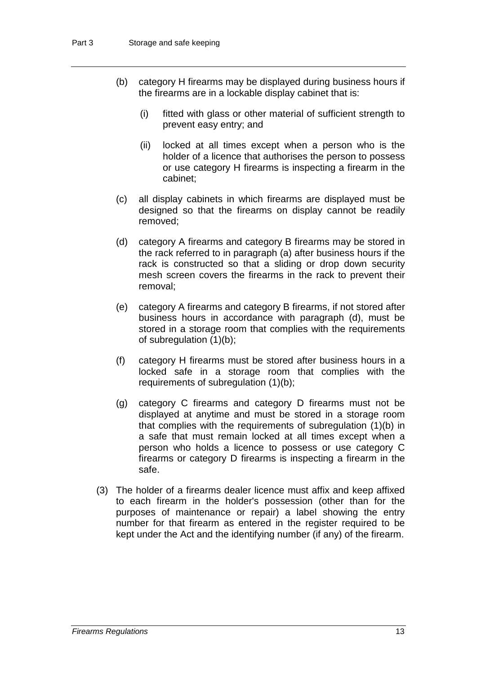- (b) category H firearms may be displayed during business hours if the firearms are in a lockable display cabinet that is:
	- (i) fitted with glass or other material of sufficient strength to prevent easy entry; and
	- (ii) locked at all times except when a person who is the holder of a licence that authorises the person to possess or use category H firearms is inspecting a firearm in the cabinet;
- (c) all display cabinets in which firearms are displayed must be designed so that the firearms on display cannot be readily removed;
- (d) category A firearms and category B firearms may be stored in the rack referred to in paragraph (a) after business hours if the rack is constructed so that a sliding or drop down security mesh screen covers the firearms in the rack to prevent their removal;
- (e) category A firearms and category B firearms, if not stored after business hours in accordance with paragraph (d), must be stored in a storage room that complies with the requirements of subregulation (1)(b);
- (f) category H firearms must be stored after business hours in a locked safe in a storage room that complies with the requirements of subregulation (1)(b);
- (g) category C firearms and category D firearms must not be displayed at anytime and must be stored in a storage room that complies with the requirements of subregulation (1)(b) in a safe that must remain locked at all times except when a person who holds a licence to possess or use category C firearms or category D firearms is inspecting a firearm in the safe.
- (3) The holder of a firearms dealer licence must affix and keep affixed to each firearm in the holder's possession (other than for the purposes of maintenance or repair) a label showing the entry number for that firearm as entered in the register required to be kept under the Act and the identifying number (if any) of the firearm.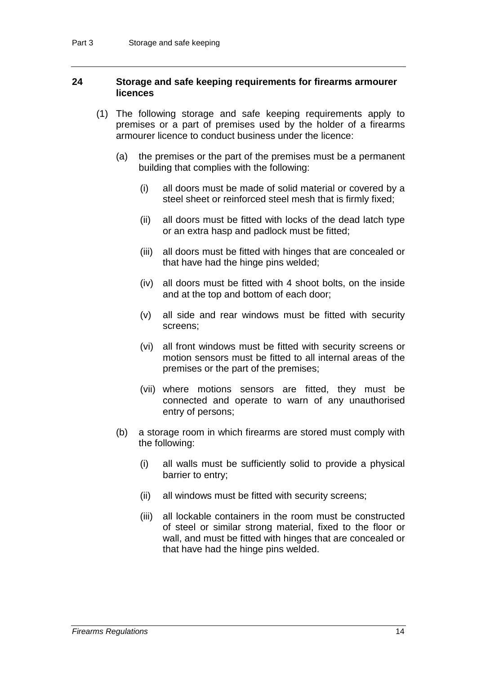#### **24 Storage and safe keeping requirements for firearms armourer licences**

- (1) The following storage and safe keeping requirements apply to premises or a part of premises used by the holder of a firearms armourer licence to conduct business under the licence:
	- (a) the premises or the part of the premises must be a permanent building that complies with the following:
		- (i) all doors must be made of solid material or covered by a steel sheet or reinforced steel mesh that is firmly fixed;
		- (ii) all doors must be fitted with locks of the dead latch type or an extra hasp and padlock must be fitted;
		- (iii) all doors must be fitted with hinges that are concealed or that have had the hinge pins welded;
		- (iv) all doors must be fitted with 4 shoot bolts, on the inside and at the top and bottom of each door;
		- (v) all side and rear windows must be fitted with security screens;
		- (vi) all front windows must be fitted with security screens or motion sensors must be fitted to all internal areas of the premises or the part of the premises;
		- (vii) where motions sensors are fitted, they must be connected and operate to warn of any unauthorised entry of persons;
	- (b) a storage room in which firearms are stored must comply with the following:
		- (i) all walls must be sufficiently solid to provide a physical barrier to entry;
		- (ii) all windows must be fitted with security screens;
		- (iii) all lockable containers in the room must be constructed of steel or similar strong material, fixed to the floor or wall, and must be fitted with hinges that are concealed or that have had the hinge pins welded.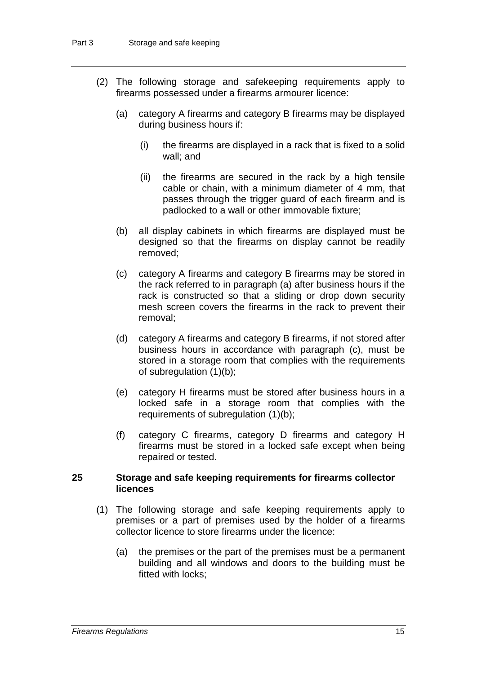- (2) The following storage and safekeeping requirements apply to firearms possessed under a firearms armourer licence:
	- (a) category A firearms and category B firearms may be displayed during business hours if:
		- (i) the firearms are displayed in a rack that is fixed to a solid wall; and
		- (ii) the firearms are secured in the rack by a high tensile cable or chain, with a minimum diameter of 4 mm, that passes through the trigger guard of each firearm and is padlocked to a wall or other immovable fixture;
	- (b) all display cabinets in which firearms are displayed must be designed so that the firearms on display cannot be readily removed;
	- (c) category A firearms and category B firearms may be stored in the rack referred to in paragraph (a) after business hours if the rack is constructed so that a sliding or drop down security mesh screen covers the firearms in the rack to prevent their removal;
	- (d) category A firearms and category B firearms, if not stored after business hours in accordance with paragraph (c), must be stored in a storage room that complies with the requirements of subregulation (1)(b);
	- (e) category H firearms must be stored after business hours in a locked safe in a storage room that complies with the requirements of subregulation (1)(b);
	- (f) category C firearms, category D firearms and category H firearms must be stored in a locked safe except when being repaired or tested.

#### **25 Storage and safe keeping requirements for firearms collector licences**

- (1) The following storage and safe keeping requirements apply to premises or a part of premises used by the holder of a firearms collector licence to store firearms under the licence:
	- (a) the premises or the part of the premises must be a permanent building and all windows and doors to the building must be fitted with locks;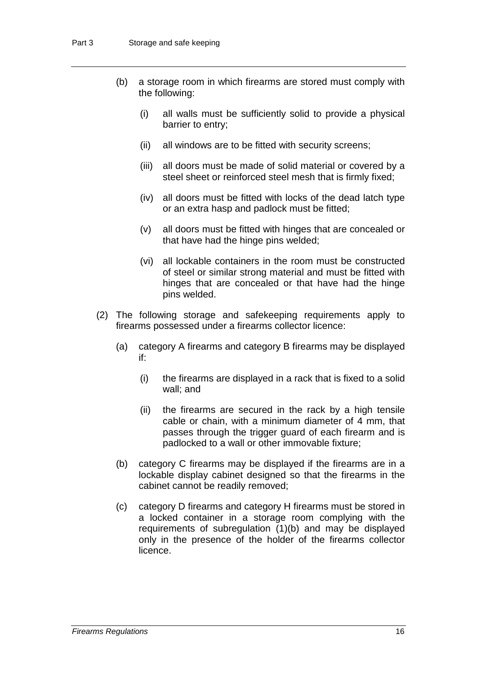- (b) a storage room in which firearms are stored must comply with the following:
	- (i) all walls must be sufficiently solid to provide a physical barrier to entry;
	- (ii) all windows are to be fitted with security screens;
	- (iii) all doors must be made of solid material or covered by a steel sheet or reinforced steel mesh that is firmly fixed;
	- (iv) all doors must be fitted with locks of the dead latch type or an extra hasp and padlock must be fitted;
	- (v) all doors must be fitted with hinges that are concealed or that have had the hinge pins welded;
	- (vi) all lockable containers in the room must be constructed of steel or similar strong material and must be fitted with hinges that are concealed or that have had the hinge pins welded.
- (2) The following storage and safekeeping requirements apply to firearms possessed under a firearms collector licence:
	- (a) category A firearms and category B firearms may be displayed if:
		- (i) the firearms are displayed in a rack that is fixed to a solid wall; and
		- (ii) the firearms are secured in the rack by a high tensile cable or chain, with a minimum diameter of 4 mm, that passes through the trigger guard of each firearm and is padlocked to a wall or other immovable fixture;
	- (b) category C firearms may be displayed if the firearms are in a lockable display cabinet designed so that the firearms in the cabinet cannot be readily removed;
	- (c) category D firearms and category H firearms must be stored in a locked container in a storage room complying with the requirements of subregulation (1)(b) and may be displayed only in the presence of the holder of the firearms collector licence.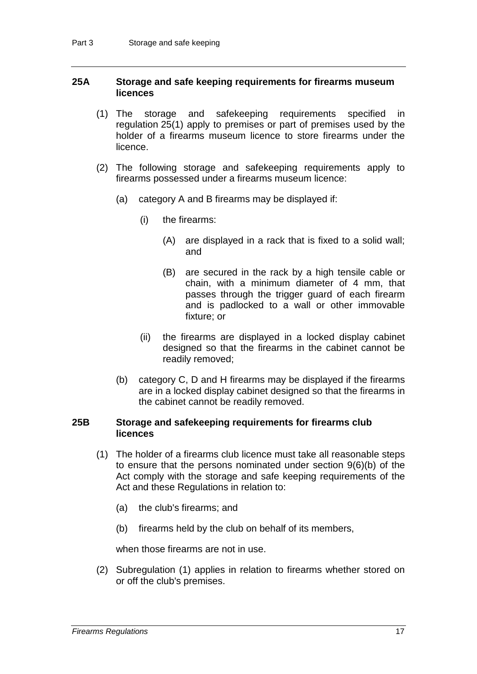#### **25A Storage and safe keeping requirements for firearms museum licences**

- (1) The storage and safekeeping requirements specified in regulation 25(1) apply to premises or part of premises used by the holder of a firearms museum licence to store firearms under the licence.
- (2) The following storage and safekeeping requirements apply to firearms possessed under a firearms museum licence:
	- (a) category A and B firearms may be displayed if:
		- (i) the firearms:
			- (A) are displayed in a rack that is fixed to a solid wall; and
			- (B) are secured in the rack by a high tensile cable or chain, with a minimum diameter of 4 mm, that passes through the trigger guard of each firearm and is padlocked to a wall or other immovable fixture; or
		- (ii) the firearms are displayed in a locked display cabinet designed so that the firearms in the cabinet cannot be readily removed;
	- (b) category C, D and H firearms may be displayed if the firearms are in a locked display cabinet designed so that the firearms in the cabinet cannot be readily removed.

#### **25B Storage and safekeeping requirements for firearms club licences**

- (1) The holder of a firearms club licence must take all reasonable steps to ensure that the persons nominated under section 9(6)(b) of the Act comply with the storage and safe keeping requirements of the Act and these Regulations in relation to:
	- (a) the club's firearms; and
	- (b) firearms held by the club on behalf of its members,

when those firearms are not in use.

(2) Subregulation (1) applies in relation to firearms whether stored on or off the club's premises.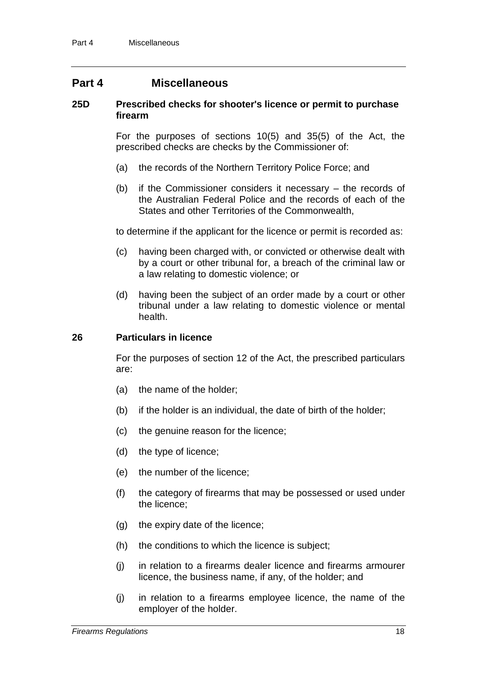### **Part 4 Miscellaneous**

#### **25D Prescribed checks for shooter's licence or permit to purchase firearm**

For the purposes of sections 10(5) and 35(5) of the Act, the prescribed checks are checks by the Commissioner of:

- (a) the records of the Northern Territory Police Force; and
- (b) if the Commissioner considers it necessary the records of the Australian Federal Police and the records of each of the States and other Territories of the Commonwealth,

to determine if the applicant for the licence or permit is recorded as:

- (c) having been charged with, or convicted or otherwise dealt with by a court or other tribunal for, a breach of the criminal law or a law relating to domestic violence; or
- (d) having been the subject of an order made by a court or other tribunal under a law relating to domestic violence or mental health.

#### **26 Particulars in licence**

For the purposes of section 12 of the Act, the prescribed particulars are:

- (a) the name of the holder;
- (b) if the holder is an individual, the date of birth of the holder;
- (c) the genuine reason for the licence;
- (d) the type of licence;
- (e) the number of the licence;
- (f) the category of firearms that may be possessed or used under the licence;
- (g) the expiry date of the licence;
- (h) the conditions to which the licence is subject;
- (j) in relation to a firearms dealer licence and firearms armourer licence, the business name, if any, of the holder; and
- (j) in relation to a firearms employee licence, the name of the employer of the holder.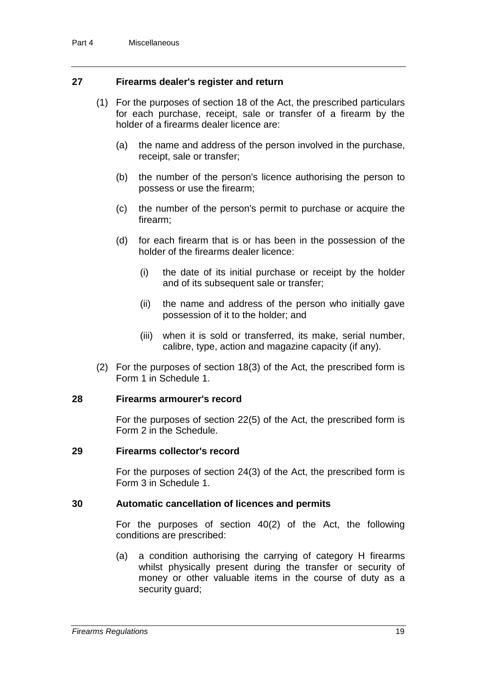#### **27 Firearms dealer's register and return**

- (1) For the purposes of section 18 of the Act, the prescribed particulars for each purchase, receipt, sale or transfer of a firearm by the holder of a firearms dealer licence are:
	- (a) the name and address of the person involved in the purchase, receipt, sale or transfer;
	- (b) the number of the person's licence authorising the person to possess or use the firearm;
	- (c) the number of the person's permit to purchase or acquire the firearm;
	- (d) for each firearm that is or has been in the possession of the holder of the firearms dealer licence:
		- (i) the date of its initial purchase or receipt by the holder and of its subsequent sale or transfer;
		- (ii) the name and address of the person who initially gave possession of it to the holder; and
		- (iii) when it is sold or transferred, its make, serial number, calibre, type, action and magazine capacity (if any).
- (2) For the purposes of section 18(3) of the Act, the prescribed form is Form 1 in Schedule 1.

#### **28 Firearms armourer's record**

For the purposes of section 22(5) of the Act, the prescribed form is Form 2 in the Schedule.

#### **29 Firearms collector's record**

For the purposes of section 24(3) of the Act, the prescribed form is Form 3 in Schedule 1.

#### **30 Automatic cancellation of licences and permits**

For the purposes of section 40(2) of the Act, the following conditions are prescribed:

(a) a condition authorising the carrying of category H firearms whilst physically present during the transfer or security of money or other valuable items in the course of duty as a security guard;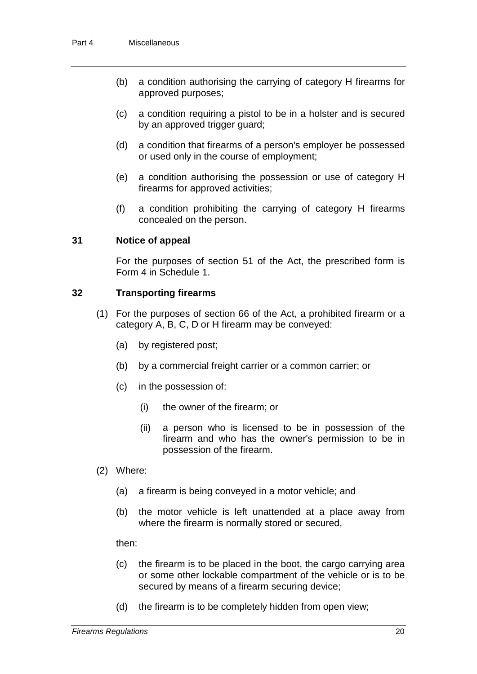- (b) a condition authorising the carrying of category H firearms for approved purposes;
- (c) a condition requiring a pistol to be in a holster and is secured by an approved trigger guard;
- (d) a condition that firearms of a person's employer be possessed or used only in the course of employment;
- (e) a condition authorising the possession or use of category H firearms for approved activities;
- (f) a condition prohibiting the carrying of category H firearms concealed on the person.

#### **31 Notice of appeal**

For the purposes of section 51 of the Act, the prescribed form is Form 4 in Schedule 1.

#### **32 Transporting firearms**

- (1) For the purposes of section 66 of the Act, a prohibited firearm or a category A, B, C, D or H firearm may be conveyed:
	- (a) by registered post;
	- (b) by a commercial freight carrier or a common carrier; or
	- (c) in the possession of:
		- (i) the owner of the firearm; or
		- (ii) a person who is licensed to be in possession of the firearm and who has the owner's permission to be in possession of the firearm.
- (2) Where:
	- (a) a firearm is being conveyed in a motor vehicle; and
	- (b) the motor vehicle is left unattended at a place away from where the firearm is normally stored or secured,

then:

- (c) the firearm is to be placed in the boot, the cargo carrying area or some other lockable compartment of the vehicle or is to be secured by means of a firearm securing device;
- (d) the firearm is to be completely hidden from open view;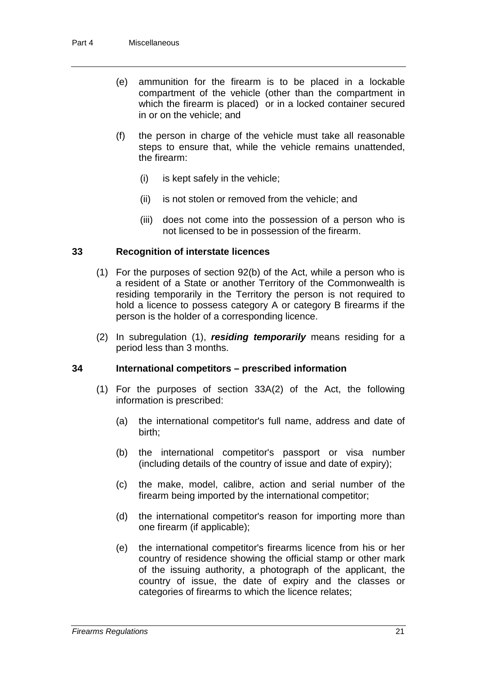- (e) ammunition for the firearm is to be placed in a lockable compartment of the vehicle (other than the compartment in which the firearm is placed) or in a locked container secured in or on the vehicle; and
- (f) the person in charge of the vehicle must take all reasonable steps to ensure that, while the vehicle remains unattended, the firearm:
	- (i) is kept safely in the vehicle;
	- (ii) is not stolen or removed from the vehicle; and
	- (iii) does not come into the possession of a person who is not licensed to be in possession of the firearm.

#### **33 Recognition of interstate licences**

- (1) For the purposes of section 92(b) of the Act, while a person who is a resident of a State or another Territory of the Commonwealth is residing temporarily in the Territory the person is not required to hold a licence to possess category A or category B firearms if the person is the holder of a corresponding licence.
- (2) In subregulation (1), *residing temporarily* means residing for a period less than 3 months.

#### **34 International competitors – prescribed information**

- (1) For the purposes of section 33A(2) of the Act, the following information is prescribed:
	- (a) the international competitor's full name, address and date of birth;
	- (b) the international competitor's passport or visa number (including details of the country of issue and date of expiry);
	- (c) the make, model, calibre, action and serial number of the firearm being imported by the international competitor;
	- (d) the international competitor's reason for importing more than one firearm (if applicable);
	- (e) the international competitor's firearms licence from his or her country of residence showing the official stamp or other mark of the issuing authority, a photograph of the applicant, the country of issue, the date of expiry and the classes or categories of firearms to which the licence relates;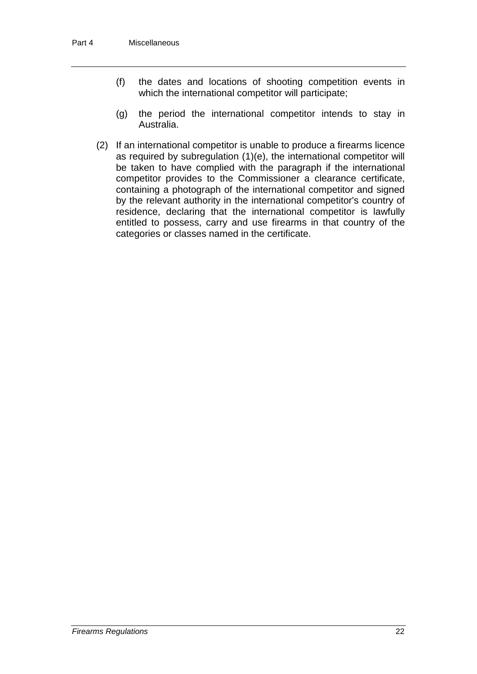- (f) the dates and locations of shooting competition events in which the international competitor will participate;
- (g) the period the international competitor intends to stay in Australia.
- (2) If an international competitor is unable to produce a firearms licence as required by subregulation (1)(e), the international competitor will be taken to have complied with the paragraph if the international competitor provides to the Commissioner a clearance certificate, containing a photograph of the international competitor and signed by the relevant authority in the international competitor's country of residence, declaring that the international competitor is lawfully entitled to possess, carry and use firearms in that country of the categories or classes named in the certificate.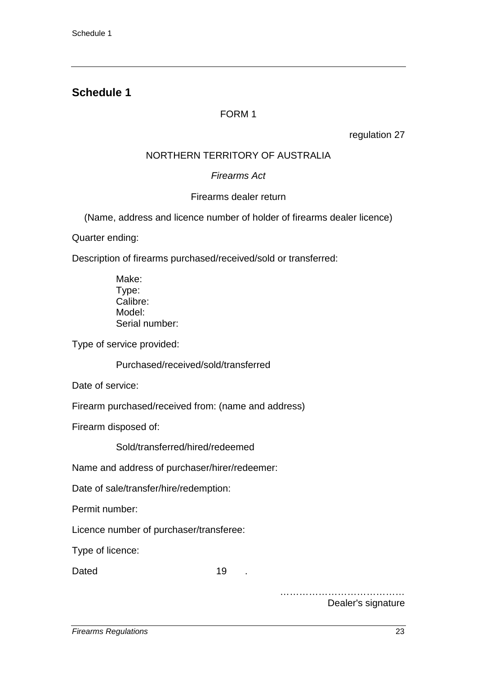## **Schedule 1**

## FORM 1

regulation 27

## NORTHERN TERRITORY OF AUSTRALIA

## *Firearms Act*

## Firearms dealer return

(Name, address and licence number of holder of firearms dealer licence)

Quarter ending:

Description of firearms purchased/received/sold or transferred:

Make: Type: Calibre: Model: Serial number:

Type of service provided:

Purchased/received/sold/transferred

Date of service:

Firearm purchased/received from: (name and address)

Firearm disposed of:

Sold/transferred/hired/redeemed

Name and address of purchaser/hirer/redeemer:

Date of sale/transfer/hire/redemption:

Permit number:

Licence number of purchaser/transferee:

Type of licence:

Dated 19 .

………………………………… Dealer's signature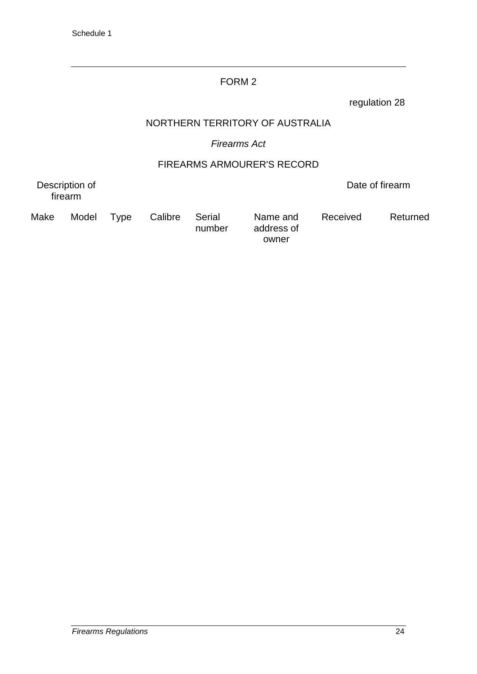### FORM 2

regulation 28

### NORTHERN TERRITORY OF AUSTRALIA

## *Firearms Act*

## FIREARMS ARMOURER'S RECORD

number

Description of firearm

Date of firearm

Make Model Type Calibre Serial

Name and address of owner

Received Returned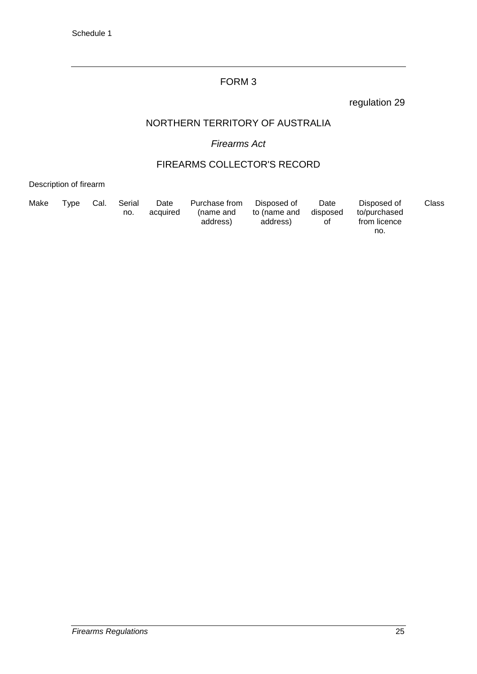### FORM 3

regulation 29

### NORTHERN TERRITORY OF AUSTRALIA

## *Firearms Act*

## FIREARMS COLLECTOR'S RECORD

Description of firearm

| Make | Tvpe | Cal. | Serial<br>no. | Date<br>acquired | Purchase from<br>(name and<br>address) | Disposed of<br>to (name and<br>address) | Date<br>disposed<br>0t | Disposed of<br>to/purchased<br>from licence | Class |
|------|------|------|---------------|------------------|----------------------------------------|-----------------------------------------|------------------------|---------------------------------------------|-------|
|      |      |      |               |                  |                                        |                                         |                        | no.                                         |       |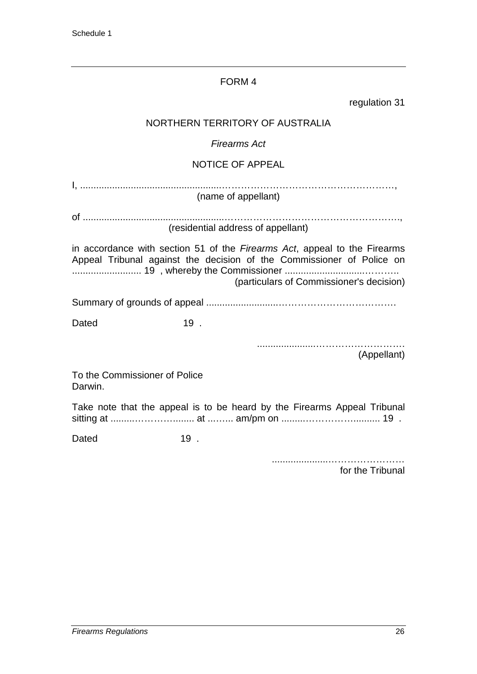## FORM 4

| regulation 31                                                                                                                                                                                  |  |  |
|------------------------------------------------------------------------------------------------------------------------------------------------------------------------------------------------|--|--|
| NORTHERN TERRITORY OF AUSTRALIA                                                                                                                                                                |  |  |
| <b>Firearms Act</b>                                                                                                                                                                            |  |  |
| <b>NOTICE OF APPEAL</b>                                                                                                                                                                        |  |  |
| (name of appellant)                                                                                                                                                                            |  |  |
| (residential address of appellant)                                                                                                                                                             |  |  |
| in accordance with section 51 of the Firearms Act, appeal to the Firearms<br>Appeal Tribunal against the decision of the Commissioner of Police on<br>(particulars of Commissioner's decision) |  |  |
|                                                                                                                                                                                                |  |  |
| 19.<br>Dated                                                                                                                                                                                   |  |  |
| (Appellant)                                                                                                                                                                                    |  |  |
| To the Commissioner of Police<br>Darwin.                                                                                                                                                       |  |  |
| Take note that the appeal is to be heard by the Firearms Appeal Tribunal                                                                                                                       |  |  |

Dated 19.

.....................…………………… for the Tribunal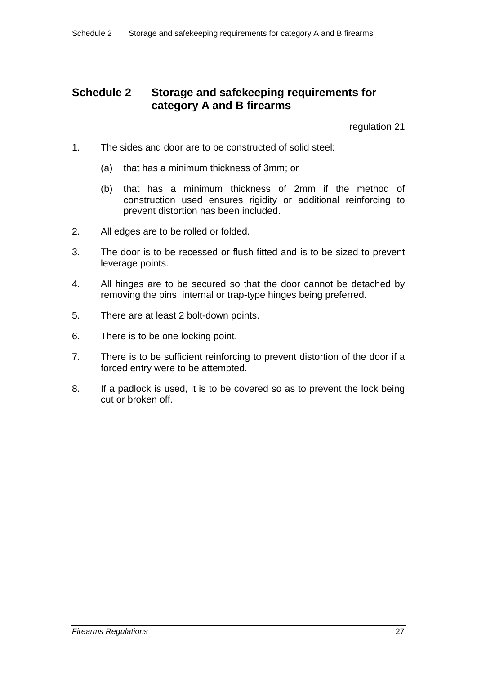## **Schedule 2 Storage and safekeeping requirements for category A and B firearms**

regulation 21

- 1. The sides and door are to be constructed of solid steel:
	- (a) that has a minimum thickness of 3mm; or
	- (b) that has a minimum thickness of 2mm if the method of construction used ensures rigidity or additional reinforcing to prevent distortion has been included.
- 2. All edges are to be rolled or folded.
- 3. The door is to be recessed or flush fitted and is to be sized to prevent leverage points.
- 4. All hinges are to be secured so that the door cannot be detached by removing the pins, internal or trap-type hinges being preferred.
- 5. There are at least 2 bolt-down points.
- 6. There is to be one locking point.
- 7. There is to be sufficient reinforcing to prevent distortion of the door if a forced entry were to be attempted.
- 8. If a padlock is used, it is to be covered so as to prevent the lock being cut or broken off.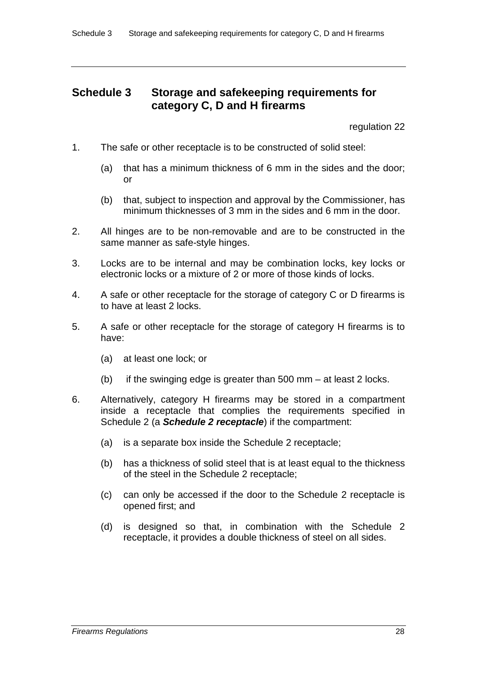## **Schedule 3 Storage and safekeeping requirements for category C, D and H firearms**

regulation 22

- 1. The safe or other receptacle is to be constructed of solid steel:
	- (a) that has a minimum thickness of 6 mm in the sides and the door; or
	- (b) that, subject to inspection and approval by the Commissioner, has minimum thicknesses of 3 mm in the sides and 6 mm in the door.
- 2. All hinges are to be non-removable and are to be constructed in the same manner as safe-style hinges.
- 3. Locks are to be internal and may be combination locks, key locks or electronic locks or a mixture of 2 or more of those kinds of locks.
- 4. A safe or other receptacle for the storage of category C or D firearms is to have at least 2 locks.
- 5. A safe or other receptacle for the storage of category H firearms is to have:
	- (a) at least one lock; or
	- (b) if the swinging edge is greater than 500 mm at least 2 locks.
- 6. Alternatively, category H firearms may be stored in a compartment inside a receptacle that complies the requirements specified in Schedule 2 (a *Schedule 2 receptacle*) if the compartment:
	- (a) is a separate box inside the Schedule 2 receptacle;
	- (b) has a thickness of solid steel that is at least equal to the thickness of the steel in the Schedule 2 receptacle;
	- (c) can only be accessed if the door to the Schedule 2 receptacle is opened first; and
	- (d) is designed so that, in combination with the Schedule 2 receptacle, it provides a double thickness of steel on all sides.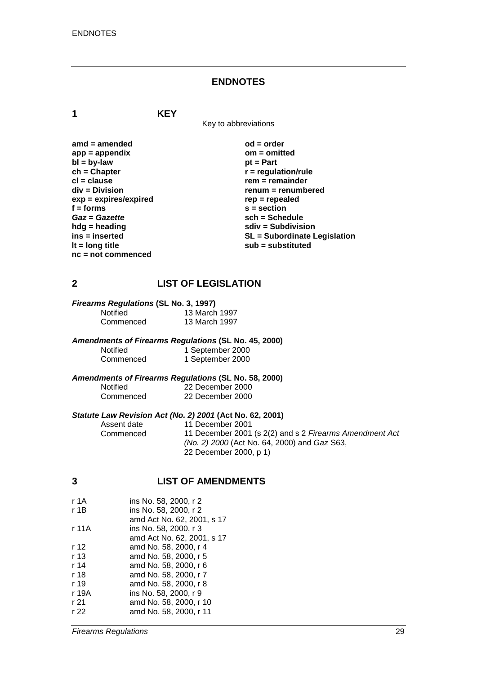#### **ENDNOTES**

**1 KEY**

Key to abbreviations

amd = amended od = order<br>
app = appendix **butch** on = omitted app = appendix<br>bl = by-law bl = by-law bl = com **bl** = by-law<br>
ch = Chapter **ch = Chapter**<br> **cl** = clause **r** = regulation/rule<br> **r** = remainder **cl = clause rem = remainder**  $exp = expires/expired$ <br>**f** = forms *Gaz* = *Gazette*<br>hdg = heading **hdg = heading sdiv = Subdivision nc = not commenced**

**renum = renumbered**<br>rep = repealed **f** = section<br>sch = Schedule **ins = inserted SL = Subordinate Legislation lt = long title sub = substituted**

#### **2 LIST OF LEGISLATION**

#### *Firearms Regulations* **(SL No. 3, 1997)**

| <b>Notified</b> | 13 March 1997 |
|-----------------|---------------|
| Commenced       | 13 March 1997 |

#### *Amendments of Firearms Regulations* **(SL No. 45, 2000)**

| <b>Notified</b> | 1 September 2000 |
|-----------------|------------------|
| Commenced       | 1 September 2000 |

# *Amendments of Firearms Regulations* **(SL No. 58, 2000)**

| Notified  | 22 December 2000 |
|-----------|------------------|
| Commenced | 22 December 2000 |

# *Statute Law Revision Act (No. 2) 2001* **(Act No. 62, 2001)**

Assent date 11 December 2001<br>Commenced 11 December 2001 11 December 2001 (s 2(2) and s 2 *Firearms Amendment Act (No. 2) 2000* (Act No. 64, 2000) and *Gaz* S63, 22 December 2000, p 1)

#### **3 LIST OF AMENDMENTS**

| r 1A  | ins No. 58, 2000, r 2      |
|-------|----------------------------|
| r 1B  | ins No. 58, 2000, r 2      |
|       | amd Act No. 62, 2001, s 17 |
| r 11A | ins No. 58, 2000, r 3      |
|       | amd Act No. 62, 2001, s 17 |
| r 12  | amd No. 58, 2000, r 4      |
| r 13  | amd No. 58, 2000, r 5      |
| r 14  | amd No. 58, 2000, r 6      |
| r 18  | amd No. 58, 2000, r 7      |
| r 19  | amd No. 58, 2000, r 8      |
| r 19A | ins No. 58, 2000, r 9      |
| r 21  | amd No. 58, 2000, r 10     |
| r 22  | amd No. 58, 2000, r 11     |